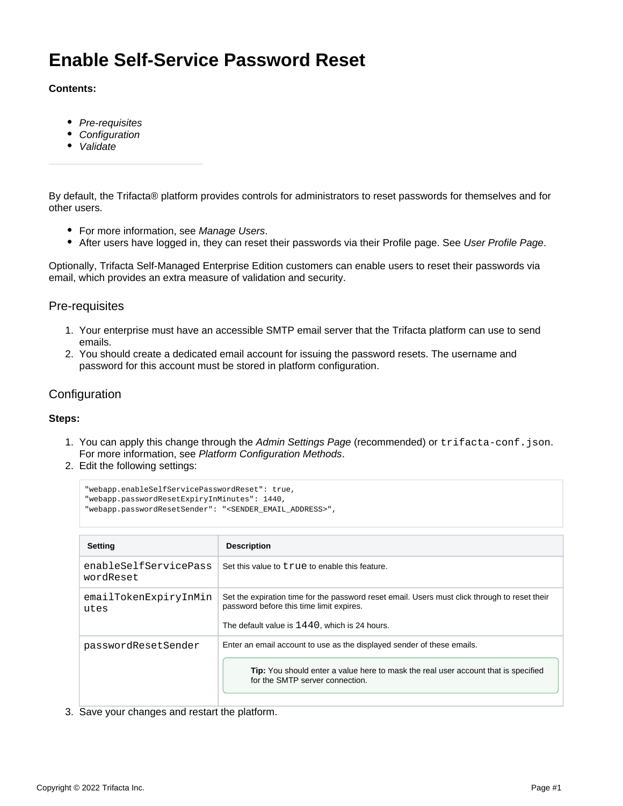# **Enable Self-Service Password Reset**

#### **Contents:**

- [Pre-requisites](#page-0-0)
- [Configuration](#page-0-1)
- [Validate](#page-1-0)

By default, the Trifacta® platform provides controls for administrators to reset passwords for themselves and for other users.

- For more information, see [Manage Users](https://docs.trifacta.com/display/r050/Manage+Users).
- After users have logged in, they can reset their passwords via their Profile page. See [User Profile Page](https://docs.trifacta.com/display/r050/User+Profile+Page).

Optionally, Trifacta Self-Managed Enterprise Edition customers can enable users to reset their passwords via email, which provides an extra measure of validation and security.

### <span id="page-0-0"></span>Pre-requisites

- 1. Your enterprise must have an accessible SMTP email server that the Trifacta platform can use to send emails.
- 2. You should create a dedicated email account for issuing the password resets. The username and password for this account must be stored in platform configuration.

## <span id="page-0-1"></span>**Configuration**

#### **Steps:**

- 1. You can apply this change through the [Admin Settings Page](https://docs.trifacta.com/display/r050/Admin+Settings+Page) (recommended) or trifacta-conf.json. For more information, see [Platform Configuration Methods](https://docs.trifacta.com/display/r050/Platform+Configuration+Methods).
- 2. Edit the following settings:

```
"webapp.enableSelfServicePasswordReset": true,
"webapp.passwordResetExpiryInMinutes": 1440,
"webapp.passwordResetSender": "<SENDER_EMAIL_ADDRESS>",
```

| <b>Setting</b>                     | <b>Description</b>                                                                                                                                                                                     |
|------------------------------------|--------------------------------------------------------------------------------------------------------------------------------------------------------------------------------------------------------|
| enableSelfServicePass<br>wordReset | Set this value to true to enable this feature.                                                                                                                                                         |
| emailTokenExpiryInMin<br>utes      | Set the expiration time for the password reset email. Users must click through to reset their<br>password before this time limit expires.<br>The default value is $1440$ . which is 24 hours.          |
| passwordResetSender                | Enter an email account to use as the displayed sender of these emails.<br><b>Tip:</b> You should enter a value here to mask the real user account that is specified<br>for the SMTP server connection. |

3. Save your changes and restart the platform.